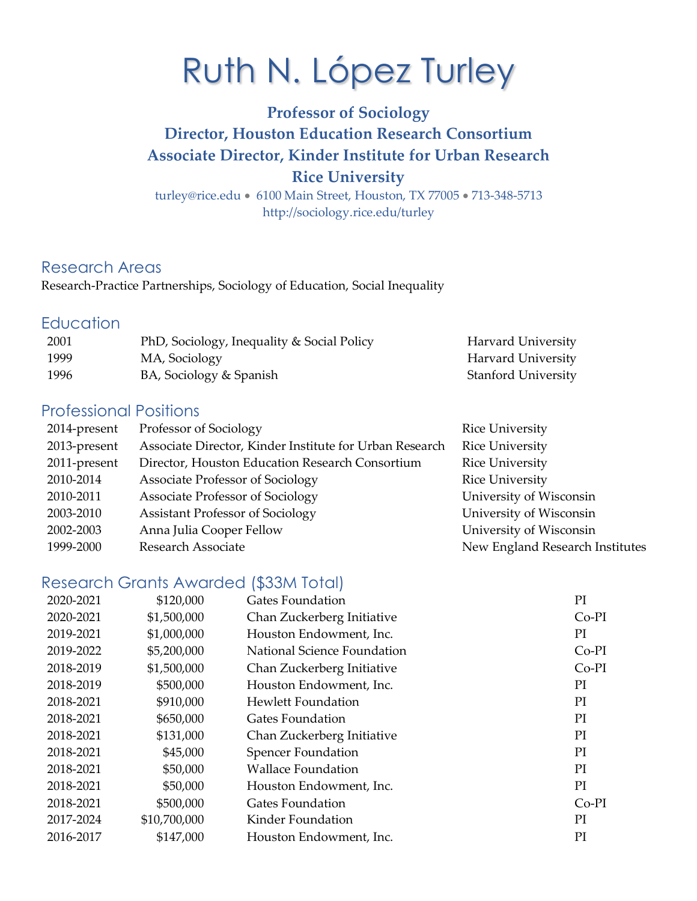## **Director, Houston Education Research Consortium Associate Director, Kinder Institute for Urban Research Professor of Sociology Rice University**

 [turley@rice.edu](mailto:turley@rice.edu) • 6100 Main Street, Houston, TX 77005 • 713-348-5713 <http://sociology.rice.edu/turley>

## Research Areas

Research-Practice Partnerships, Sociology of Education, Social Inequality

## **Education**

| 2001 | PhD, Sociology, Inequality & Social Policy | Harvard University         |
|------|--------------------------------------------|----------------------------|
| 1999 | MA, Sociology                              | Harvard University         |
| 1996 | BA, Sociology & Spanish                    | <b>Stanford University</b> |

## Professional Positions

| 2014-present | Professor of Sociology                                  | <b>Rice University</b>          |
|--------------|---------------------------------------------------------|---------------------------------|
| 2013-present | Associate Director, Kinder Institute for Urban Research | <b>Rice University</b>          |
| 2011-present | Director, Houston Education Research Consortium         | <b>Rice University</b>          |
| 2010-2014    | Associate Professor of Sociology                        | <b>Rice University</b>          |
| 2010-2011    | Associate Professor of Sociology                        | University of Wisconsin         |
| 2003-2010    | <b>Assistant Professor of Sociology</b>                 | University of Wisconsin         |
| 2002-2003    | Anna Julia Cooper Fellow                                | University of Wisconsin         |
| 1999-2000    | Research Associate                                      | New England Research Institutes |

## Research Grants Awarded (\$33M Total)

| 2020-2021 | \$120,000    | Gates Foundation            | PI      |
|-----------|--------------|-----------------------------|---------|
| 2020-2021 | \$1,500,000  | Chan Zuckerberg Initiative  | $Co-PI$ |
| 2019-2021 | \$1,000,000  | Houston Endowment, Inc.     | PI      |
| 2019-2022 | \$5,200,000  | National Science Foundation | $Co-PI$ |
| 2018-2019 | \$1,500,000  | Chan Zuckerberg Initiative  | $Co-PI$ |
| 2018-2019 | \$500,000    | Houston Endowment, Inc.     | PI      |
| 2018-2021 | \$910,000    | <b>Hewlett Foundation</b>   | PI      |
| 2018-2021 | \$650,000    | Gates Foundation            | PI      |
| 2018-2021 | \$131,000    | Chan Zuckerberg Initiative  | PI      |
| 2018-2021 | \$45,000     | <b>Spencer Foundation</b>   | PI      |
| 2018-2021 | \$50,000     | <b>Wallace Foundation</b>   | PI      |
| 2018-2021 | \$50,000     | Houston Endowment, Inc.     | PI      |
| 2018-2021 | \$500,000    | <b>Gates Foundation</b>     | $Co-PI$ |
| 2017-2024 | \$10,700,000 | Kinder Foundation           | PI      |
| 2016-2017 | \$147,000    | Houston Endowment, Inc.     | PI      |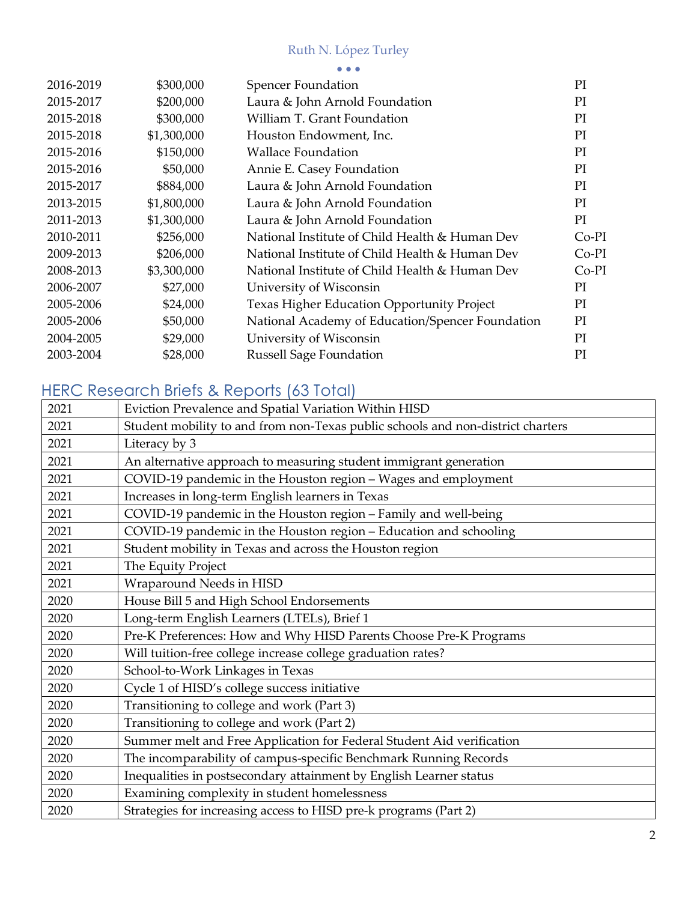| 2016-2019 | \$300,000   | <b>Spencer Foundation</b>                        | PI      |
|-----------|-------------|--------------------------------------------------|---------|
| 2015-2017 | \$200,000   | Laura & John Arnold Foundation                   | PI      |
| 2015-2018 | \$300,000   | William T. Grant Foundation                      | PI      |
| 2015-2018 | \$1,300,000 | Houston Endowment, Inc.                          | PI      |
| 2015-2016 | \$150,000   | <b>Wallace Foundation</b>                        | PI      |
| 2015-2016 | \$50,000    | Annie E. Casey Foundation                        | PI      |
| 2015-2017 | \$884,000   | Laura & John Arnold Foundation                   | PI      |
| 2013-2015 | \$1,800,000 | Laura & John Arnold Foundation                   | PI      |
| 2011-2013 | \$1,300,000 | Laura & John Arnold Foundation                   | PI      |
| 2010-2011 | \$256,000   | National Institute of Child Health & Human Dev   | $Co-PI$ |
| 2009-2013 | \$206,000   | National Institute of Child Health & Human Dev   | $Co-PI$ |
| 2008-2013 | \$3,300,000 | National Institute of Child Health & Human Dev   | $Co-PI$ |
| 2006-2007 | \$27,000    | University of Wisconsin                          | PI      |
| 2005-2006 | \$24,000    | Texas Higher Education Opportunity Project       | PI      |
| 2005-2006 | \$50,000    | National Academy of Education/Spencer Foundation | PI      |
| 2004-2005 | \$29,000    | University of Wisconsin                          | PI      |
| 2003-2004 | \$28,000    | <b>Russell Sage Foundation</b>                   | PI      |
|           |             |                                                  |         |

## HERC Research Briefs & Reports (63 Total)

| 2021 | Eviction Prevalence and Spatial Variation Within HISD                           |
|------|---------------------------------------------------------------------------------|
| 2021 | Student mobility to and from non-Texas public schools and non-district charters |
| 2021 | Literacy by 3                                                                   |
| 2021 | An alternative approach to measuring student immigrant generation               |
| 2021 | COVID-19 pandemic in the Houston region - Wages and employment                  |
| 2021 | Increases in long-term English learners in Texas                                |
| 2021 | COVID-19 pandemic in the Houston region - Family and well-being                 |
| 2021 | COVID-19 pandemic in the Houston region - Education and schooling               |
| 2021 | Student mobility in Texas and across the Houston region                         |
| 2021 | The Equity Project                                                              |
| 2021 | Wraparound Needs in HISD                                                        |
| 2020 | House Bill 5 and High School Endorsements                                       |
| 2020 | Long-term English Learners (LTELs), Brief 1                                     |
| 2020 | Pre-K Preferences: How and Why HISD Parents Choose Pre-K Programs               |
| 2020 | Will tuition-free college increase college graduation rates?                    |
| 2020 | School-to-Work Linkages in Texas                                                |
| 2020 | Cycle 1 of HISD's college success initiative                                    |
| 2020 | Transitioning to college and work (Part 3)                                      |
| 2020 | Transitioning to college and work (Part 2)                                      |
| 2020 | Summer melt and Free Application for Federal Student Aid verification           |
| 2020 | The incomparability of campus-specific Benchmark Running Records                |
| 2020 | Inequalities in postsecondary attainment by English Learner status              |
| 2020 | Examining complexity in student homelessness                                    |
| 2020 | Strategies for increasing access to HISD pre-k programs (Part 2)                |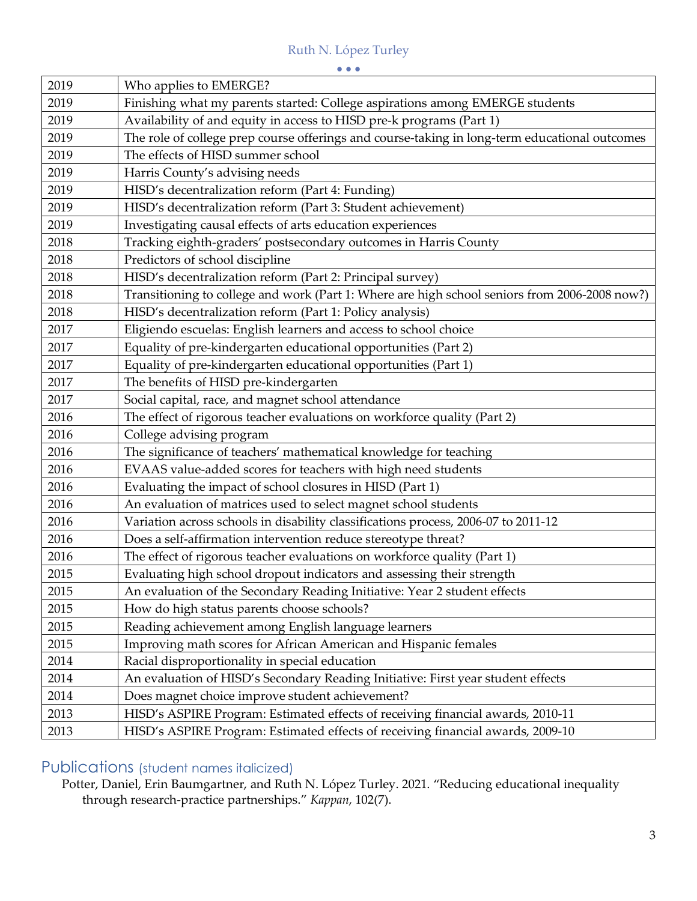|          | $\bullet\bullet\bullet$                                                                       |
|----------|-----------------------------------------------------------------------------------------------|
| 2019     | Who applies to EMERGE?                                                                        |
| 2019     | Finishing what my parents started: College aspirations among EMERGE students                  |
| 2019     | Availability of and equity in access to HISD pre-k programs (Part 1)                          |
| 2019     | The role of college prep course offerings and course-taking in long-term educational outcomes |
| 2019     | The effects of HISD summer school                                                             |
| 2019     | Harris County's advising needs                                                                |
| 2019     | HISD's decentralization reform (Part 4: Funding)                                              |
| 2019     | HISD's decentralization reform (Part 3: Student achievement)                                  |
| 2019     | Investigating causal effects of arts education experiences                                    |
| 2018     | Tracking eighth-graders' postsecondary outcomes in Harris County                              |
| 2018     | Predictors of school discipline                                                               |
| 2018     | HISD's decentralization reform (Part 2: Principal survey)                                     |
| 2018     | Transitioning to college and work (Part 1: Where are high school seniors from 2006-2008 now?) |
| 2018     | HISD's decentralization reform (Part 1: Policy analysis)                                      |
| 2017     | Eligiendo escuelas: English learners and access to school choice                              |
| 2017     | Equality of pre-kindergarten educational opportunities (Part 2)                               |
| 2017     | Equality of pre-kindergarten educational opportunities (Part 1)                               |
| 2017     | The benefits of HISD pre-kindergarten                                                         |
| 2017     | Social capital, race, and magnet school attendance                                            |
| 2016     | The effect of rigorous teacher evaluations on workforce quality (Part 2)                      |
| 2016     | College advising program                                                                      |
| 2016     | The significance of teachers' mathematical knowledge for teaching                             |
| 2016     | EVAAS value-added scores for teachers with high need students                                 |
| 2016     | Evaluating the impact of school closures in HISD (Part 1)                                     |
| 2016     | An evaluation of matrices used to select magnet school students                               |
| 2016     | Variation across schools in disability classifications process, 2006-07 to 2011-12            |
| 2016     | Does a self-affirmation intervention reduce stereotype threat?                                |
| 2016     | The effect of rigorous teacher evaluations on workforce quality (Part 1)                      |
| $2015\,$ | Evaluating high school dropout indicators and assessing their strength                        |
| 2015     | An evaluation of the Secondary Reading Initiative: Year 2 student effects                     |
| 2015     | How do high status parents choose schools?                                                    |
| 2015     | Reading achievement among English language learners                                           |
| 2015     | Improving math scores for African American and Hispanic females                               |
| 2014     | Racial disproportionality in special education                                                |
| 2014     | An evaluation of HISD's Secondary Reading Initiative: First year student effects              |
| 2014     | Does magnet choice improve student achievement?                                               |
| 2013     | HISD's ASPIRE Program: Estimated effects of receiving financial awards, 2010-11               |
| 2013     | HISD's ASPIRE Program: Estimated effects of receiving financial awards, 2009-10               |

## Publications (student names italicized)

 Potter, Daniel, Erin Baumgartner, and Ruth N. López Turley. 2021. "Reducing educational inequality through research-practice partnerships." *Kappan*, 102(7).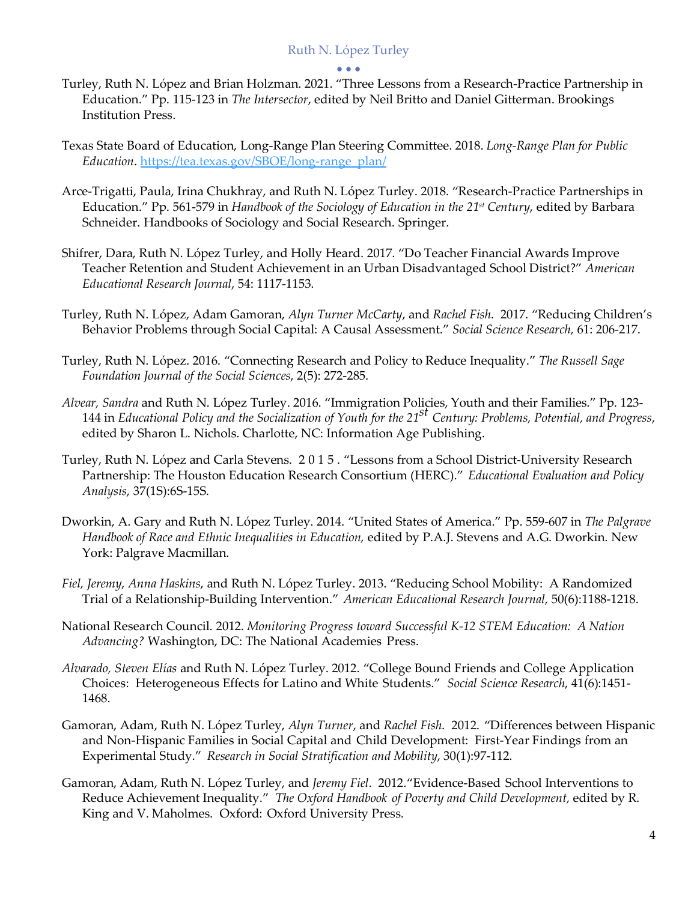#### • • •

- Turley, Ruth N. López and Brian Holzman. 2021. "Three Lessons from a Research-Practice Partnership in Education." Pp. 115-123 in *The Intersector*, edited by Neil Britto and Daniel Gitterman. Brookings Institution Press.
- Texas State Board of Education, Long-Range Plan Steering Committee. 2018. *Long-Range Plan for Public*  Education. https://tea.texas.gov/SBOE/long-range\_plan/
- *Education*. <u>https://tea.texas.gov/SBOE/long-range\_plan/</u><br>Arce-Trigatti, Paula, Irina Chukhray, and Ruth N. López Turley. 2018. "Research-Practice Partnerships in Education." Pp. 561-579 in *Handbook of the Sociology of Education in the 21st Century*, edited by Barbara Schneider. Handbooks of Sociology and Social Research. Springer.
- Shifrer, Dara, Ruth N. López Turley, and Holly Heard. 2017. "Do Teacher Financial Awards Improve Teacher Retention and Student Achievement in an Urban Disadvantaged School District?" *American Educational Research Journal*, 54: 1117-1153.
- Turley, Ruth N. López, Adam Gamoran, *Alyn Turner McCarty*, and *Rachel Fish*. 2017. "Reducing Children's Behavior Problems through Social Capital: A Causal Assessment." *Social Science Research,* 61: 206-217.
- Turley, Ruth N. López. 2016. "Connecting Research and Policy to Reduce Inequality." *The Russell Sage Foundation Journal of the Social Sciences*, 2(5): 272-285.
- *Alvear, Sandra* and Ruth N. López Turley. 2016. "Immigration Policies, Youth and their Families." Pp. 123-  144 in *Educational Policy and the Socialization of Youth for the 21st Century: Problems, Potential, and Progress*, edited by Sharon L. Nichols. Charlotte, NC: Information Age Publishing.
- Turley, Ruth N. López and Carla Stevens. 2015. "Lessons from a School District-University Research Partnership: The Houston Education Research Consortium (HERC)." *Educational Evaluation and Policy Analysis*, 37(1S):6S-15S.
- Dworkin, A. Gary and Ruth N. López Turley. 2014. "United States of America." Pp. 559-607 in *The Palgrave Handbook of Race and Ethnic Inequalities in Education,* edited by P.A.J. Stevens and A.G. Dworkin. New York: Palgrave Macmillan.
- *Fiel, Jeremy*, *Anna Haskins*, and Ruth N. López Turley. 2013. "Reducing School Mobility: A Randomized Trial of a Relationship-Building Intervention." *American Educational Research Journal,* 50(6):1188-1218.
- National Research Council. 2012. *Monitoring Progress toward Successful K-12 STEM Education: A Nation Advancing?* Washington, DC: The National Academies Press.
- *Alvarado, Steven Elías* and Ruth N. López Turley. 2012. "College Bound Friends and College Application Choices: Heterogeneous Effects for Latino and White Students." *Social Science Research*, 41(6):1451- 1468.
- Gamoran, Adam, Ruth N. López Turley, *Alyn Turner*, and *Rachel Fish*. 2012. "Differences between Hispanic and Non-Hispanic Families in Social Capital and Child Development: First-Year Findings from an Experimental Study." *Research in Social Stratification and Mobility*, 30(1):97-112.
- Gamoran, Adam, Ruth N. López Turley, and *Jeremy Fiel*. 2012."Evidence-Based School Interventions to  Reduce Achievement Inequality." *The Oxford Handbook of Poverty and Child Development,* edited by R. King and V. Maholmes. Oxford: Oxford University Press.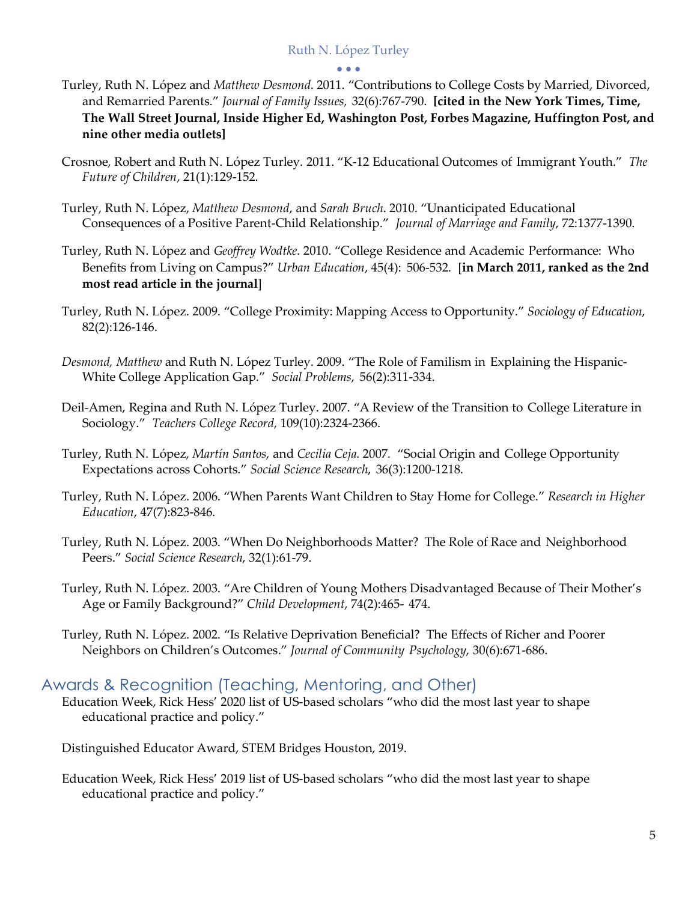#### • • •

- Turley, Ruth N. López and *Matthew Desmond*. 2011. "Contributions to College Costs by Married, Divorced, and Remarried Parents." *Journal of Family Issues,* 32(6):767-790. **[cited in the New York Times, Time, The Wall Street Journal, Inside Higher Ed, Washington Post, Forbes Magazine, Huffington Post, and nine other media outlets]**
- Crosnoe, Robert and Ruth N. López Turley. 2011. "K-12 Educational Outcomes of Immigrant Youth." *The Future of Children*, 21(1):129-152.
- Turley, Ruth N. López, *Matthew Desmond*, and *Sarah Bruch*. 2010. "Unanticipated Educational Consequences of a Positive Parent-Child Relationship." *Journal of Marriage and Family*, 72:1377-1390.
- Turley, Ruth N. López and *Geoffrey Wodtke*. 2010. "College Residence and Academic Performance: Who Benefits from Living on Campus?" *Urban Education*, 45(4): 506-532. [**in March 2011, ranked as the 2nd most read article in the journal**]
- Turley, Ruth N. López. 2009. "College Proximity: Mapping Access to Opportunity." *Sociology of Education*, 82(2):126-146.
- *Desmond, Matthew* and Ruth N. López Turley. 2009. "The Role of Familism in Explaining the Hispanic-White College Application Gap." *Social Problems*, 56(2):311-334.
- Deil-Amen, Regina and Ruth N. López Turley. 2007. "A Review of the Transition to College Literature in  Sociology." *Teachers College Record,* 109(10):2324-2366.
- Turley, Ruth N. López, *Martín Santos*, and *Cecilia Ceja*. 2007. "Social Origin and College Opportunity Expectations across Cohorts." *Social Science Research*, 36(3):1200-1218.
- Turley, Ruth N. López. 2006. "When Parents Want Children to Stay Home for College." *Research in Higher Education*, 47(7):823-846.
- Turley, Ruth N. López. 2003. "When Do Neighborhoods Matter? The Role of Race and Neighborhood  Peers." *Social Science Research*, 32(1):61-79.
- Turley, Ruth N. López. 2003. "Are Children of Young Mothers Disadvantaged Because of Their Mother's Age or Family Background?" *Child Development*, 74(2):465- 474.
- Turley, Ruth N. López. 2002. "Is Relative Deprivation Beneficial? The Effects of Richer and Poorer Neighbors on Children's Outcomes." *Journal of Community Psychology*, 30(6):671-686.

## Awards & Recognition (Teaching, Mentoring, and Other)

 Education Week, Rick Hess' 2020 list of US-based scholars "who did the most last year to shape educational practice and policy."

Distinguished Educator Award, STEM Bridges Houston, 2019.

 Education Week, Rick Hess' 2019 list of US-based scholars "who did the most last year to shape educational practice and policy."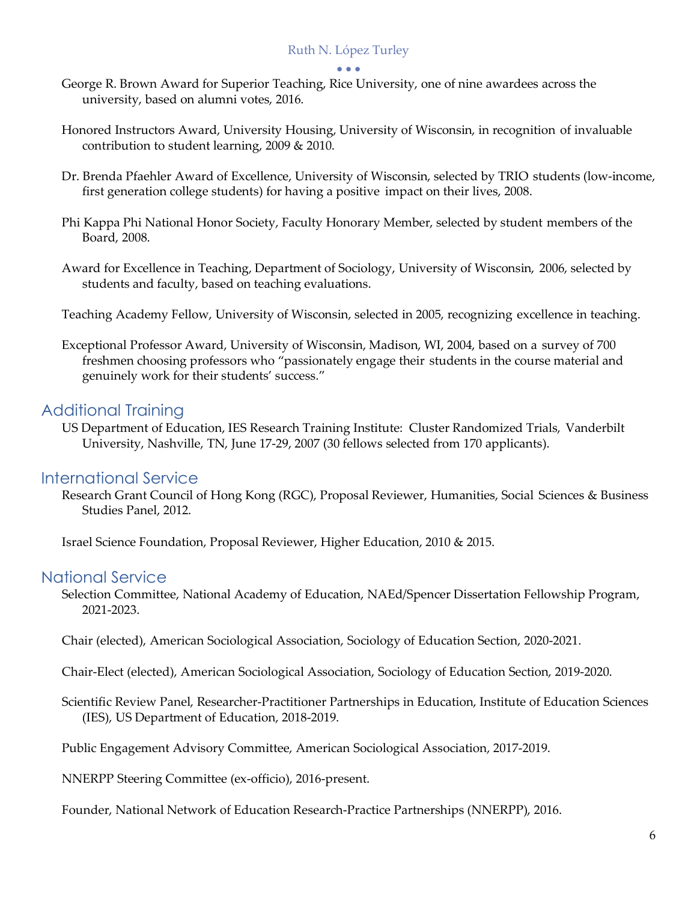#### • • •

- George R. Brown Award for Superior Teaching, Rice University, one of nine awardees across the university, based on alumni votes, 2016.
- Honored Instructors Award, University Housing, University of Wisconsin, in recognition of invaluable contribution to student learning, 2009 & 2010.
- Dr. Brenda Pfaehler Award of Excellence, University of Wisconsin, selected by TRIO students (low-income, first generation college students) for having a positive impact on their lives, 2008.
- Phi Kappa Phi National Honor Society, Faculty Honorary Member, selected by student members of the Board, 2008.
- Award for Excellence in Teaching, Department of Sociology, University of Wisconsin, 2006, selected by students and faculty, based on teaching evaluations.
- Teaching Academy Fellow, University of Wisconsin, selected in 2005, recognizing excellence in teaching.
- Exceptional Professor Award, University of Wisconsin, Madison, WI, 2004, based on a survey of 700 freshmen choosing professors who "passionately engage their students in the course material and genuinely work for their students' success."

## Additional Training

 US Department of Education, IES Research Training Institute: Cluster Randomized Trials, Vanderbilt University, Nashville, TN, June 17-29, 2007 (30 fellows selected from 170 applicants).

#### International Service

 Research Grant Council of Hong Kong (RGC), Proposal Reviewer, Humanities, Social Sciences & Business Studies Panel, 2012.

Israel Science Foundation, Proposal Reviewer, Higher Education, 2010 & 2015.

#### National Service

 Selection Committee, National Academy of Education, NAEd/Spencer Dissertation Fellowship Program, 2021-2023.

2021-2023. Chair (elected), American Sociological Association, Sociology of Education Section, 2020-2021.

Chair-Elect (elected), American Sociological Association, Sociology of Education Section, 2019-2020.

 Scientific Review Panel, Researcher-Practitioner Partnerships in Education, Institute of Education Sciences (IES), US Department of Education, 2018-2019.

Public Engagement Advisory Committee, American Sociological Association, 2017-2019.

NNERPP Steering Committee (ex-officio), 2016-present.

Founder, National Network of Education Research-Practice Partnerships (NNERPP), 2016.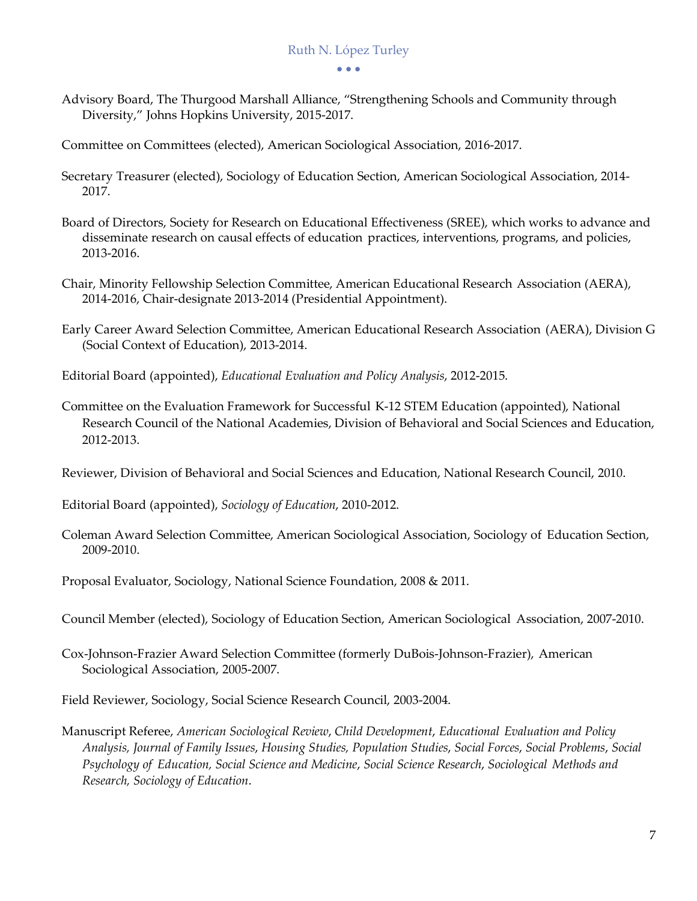Advisory Board, The Thurgood Marshall Alliance, "Strengthening Schools and Community through Diversity," Johns Hopkins University, 2015-2017.

Committee on Committees (elected), American Sociological Association, 2016-2017.

- Secretary Treasurer (elected), Sociology of Education Section, American Sociological Association, 2014- 2017.
- 2017. Board of Directors, Society for Research on Educational Effectiveness (SREE), which works to advance and disseminate research on causal effects of education practices, interventions, programs, and policies, 2013-2016.
- Chair, Minority Fellowship Selection Committee, American Educational Research Association (AERA), 2014-2016, Chair-designate 2013-2014 (Presidential Appointment).
- Early Career Award Selection Committee, American Educational Research Association (AERA), Division G (Social Context of Education), 2013-2014.
- Editorial Board (appointed), *Educational Evaluation and Policy Analysis*, 2012-2015.
- Committee on the Evaluation Framework for Successful K-12 STEM Education (appointed), National Research Council of the National Academies, Division of Behavioral and Social Sciences and Education, 2012-2013.

2012-2013. Reviewer, Division of Behavioral and Social Sciences and Education, National Research Council, 2010.

Editorial Board (appointed), *Sociology of Education*, 2010-2012.

 Coleman Award Selection Committee, American Sociological Association, Sociology of Education Section, 2009-2010.

Proposal Evaluator, Sociology, National Science Foundation, 2008 & 2011.

- Council Member (elected), Sociology of Education Section, American Sociological Association, 2007-2010.
- Cox-Johnson-Frazier Award Selection Committee (formerly DuBois-Johnson-Frazier), American Sociological Association, 2005-2007.

Field Reviewer, Sociology, Social Science Research Council, 2003-2004.

 Manuscript Referee, *American Sociological Review*, *Child Development*, *Educational Evaluation and Policy Analysis, Journal of Family Issues*, *Housing Studies, Population Studies*, *Social Forces*, *Social Problems*, *Social Psychology of Education, Social Science and Medicine*, *Social Science Research*, *Sociological Methods and Research, Sociology of Education*.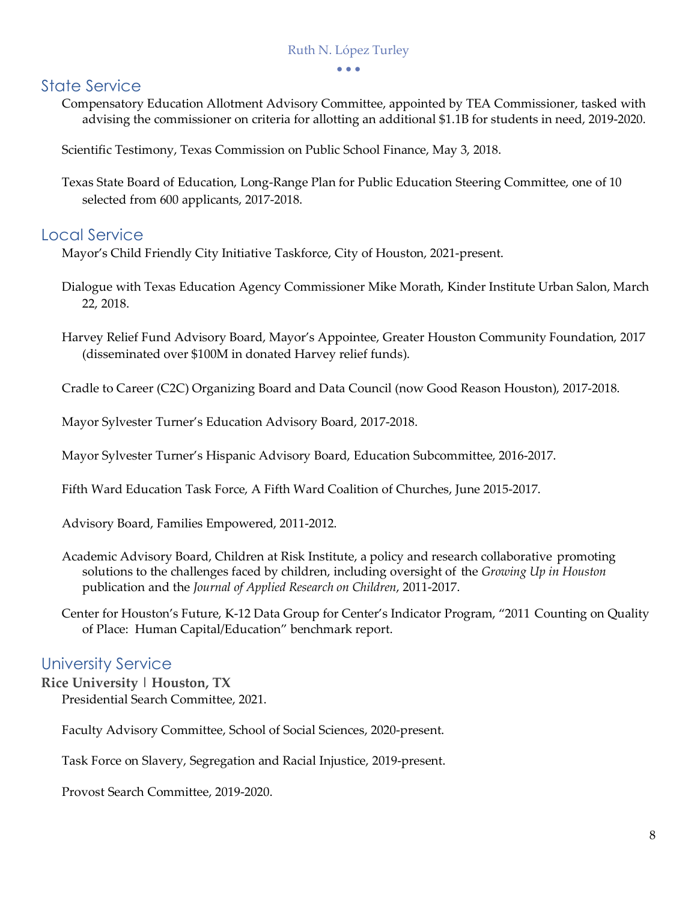• • •

## State Service

 Compensatory Education Allotment Advisory Committee, appointed by TEA Commissioner, tasked with advising the commissioner on criteria for allotting an additional \$1.1B for students in need, 2019-2020.

Scientific Testimony, Texas Commission on Public School Finance, May 3, 2018.

 Texas State Board of Education, Long-Range Plan for Public Education Steering Committee, one of 10 selected from 600 applicants, 2017-2018.

## Local Service

Mayor's Child Friendly City Initiative Taskforce, City of Houston, 2021-present.

- Dialogue with Texas Education Agency Commissioner Mike Morath, Kinder Institute Urban Salon, March 22, 2018.
- Harvey Relief Fund Advisory Board, Mayor's Appointee, Greater Houston Community Foundation, 2017 (disseminated over \$100M in donated Harvey relief funds).

Cradle to Career (C2C) Organizing Board and Data Council (now Good Reason Houston), 2017-2018.

Mayor Sylvester Turner's Education Advisory Board, 2017-2018.

Mayor Sylvester Turner's Hispanic Advisory Board, Education Subcommittee, 2016-2017.

Fifth Ward Education Task Force, A Fifth Ward Coalition of Churches, June 2015-2017.

Advisory Board, Families Empowered, 2011-2012.

 Academic Advisory Board, Children at Risk Institute, a policy and research collaborative promoting solutions to the challenges faced by children, including oversight of the *Growing Up in Houston*  publication and the *Journal of Applied Research on Children*, 2011-2017.

 Center for Houston's Future, K-12 Data Group for Center's Indicator Program, "2011 Counting on Quality of Place: Human Capital/Education" benchmark report.

## University Service

 **Rice University | Houston, TX**  Presidential Search Committee, 2021.

Faculty Advisory Committee, School of Social Sciences, 2020-present.

Task Force on Slavery, Segregation and Racial Injustice, 2019-present.

Provost Search Committee, 2019-2020.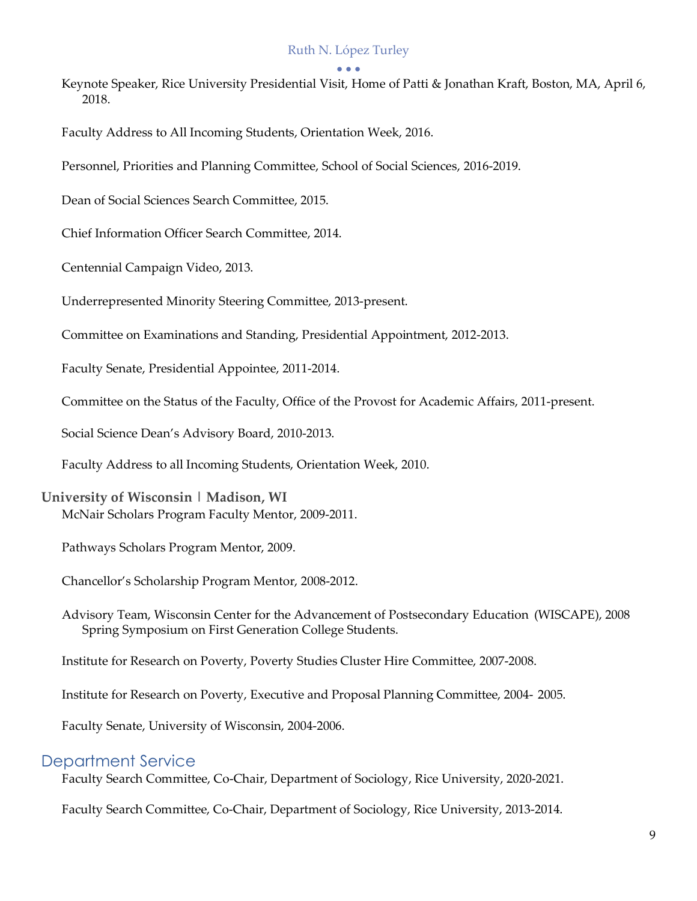#### • • •

- Keynote Speaker, Rice University Presidential Visit, Home of Patti & Jonathan Kraft, Boston, MA, April 6, 2018. 2018. Faculty Address to All Incoming Students, Orientation Week, 2016.
- 
- Personnel, Priorities and Planning Committee, School of Social Sciences, 2016-2019.
- Dean of Social Sciences Search Committee, 2015.
- Chief Information Officer Search Committee, 2014.
- Centennial Campaign Video, 2013.
- Underrepresented Minority Steering Committee, 2013-present.
- Committee on Examinations and Standing, Presidential Appointment, 2012-2013.
- Faculty Senate, Presidential Appointee, 2011-2014.
- Committee on the Status of the Faculty, Office of the Provost for Academic Affairs, 2011-present.
- Social Science Dean's Advisory Board, 2010-2013.
- Faculty Address to all Incoming Students, Orientation Week, 2010.

#### **University of Wisconsin | Madison, WI**  McNair Scholars Program Faculty Mentor, 2009-2011.

- Pathways Scholars Program Mentor, 2009.
- Chancellor's Scholarship Program Mentor, 2008-2012.
- Advisory Team, Wisconsin Center for the Advancement of Postsecondary Education (WISCAPE), 2008 Spring Symposium on First Generation College Students.
- Institute for Research on Poverty, Poverty Studies Cluster Hire Committee, 2007-2008.
- Institute for Research on Poverty, Executive and Proposal Planning Committee, 2004- 2005.
- Faculty Senate, University of Wisconsin, 2004-2006.

#### Department Service

Faculty Search Committee, Co-Chair, Department of Sociology, Rice University, 2020-2021.

Faculty Search Committee, Co-Chair, Department of Sociology, Rice University, 2013-2014.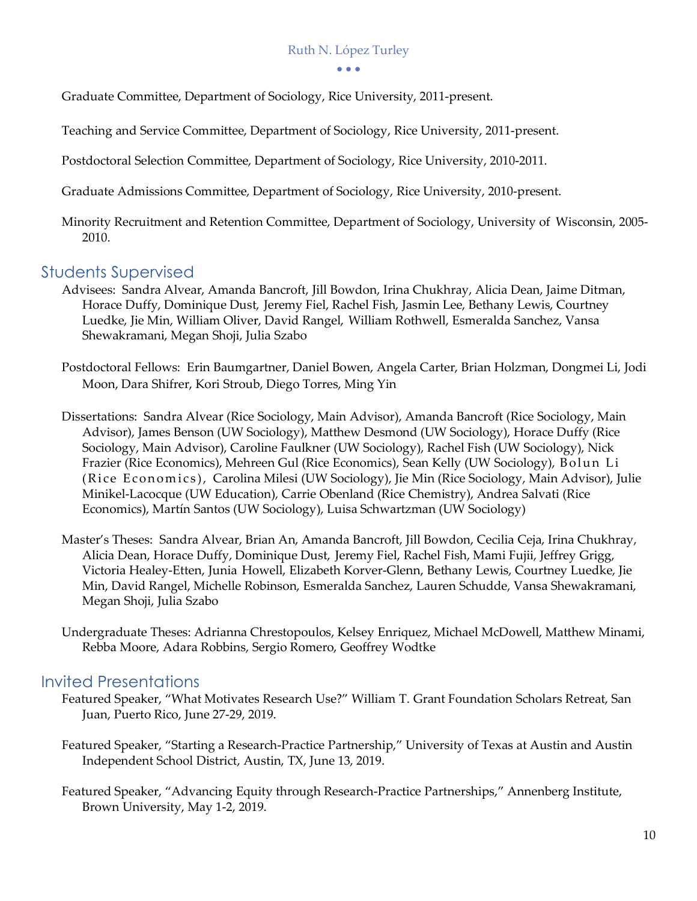• • •

Graduate Committee, Department of Sociology, Rice University, 2011-present.

Teaching and Service Committee, Department of Sociology, Rice University, 2011-present.

Postdoctoral Selection Committee, Department of Sociology, Rice University, 2010-2011.

Graduate Admissions Committee, Department of Sociology, Rice University, 2010-present.

 Minority Recruitment and Retention Committee, Department of Sociology, University of Wisconsin, 2005- 2010.

## Students Supervised

- Advisees: Sandra Alvear, Amanda Bancroft, Jill Bowdon, Irina Chukhray, Alicia Dean, Jaime Ditman, Horace Duffy, Dominique Dust, Jeremy Fiel, Rachel Fish, Jasmin Lee, Bethany Lewis, Courtney Luedke, Jie Min, William Oliver, David Rangel, William Rothwell, Esmeralda Sanchez, Vansa Shewakramani, Megan Shoji, Julia Szabo
- Postdoctoral Fellows: Erin Baumgartner, Daniel Bowen, Angela Carter, Brian Holzman, Dongmei Li, Jodi Moon, Dara Shifrer, Kori Stroub, Diego Torres, Ming Yin
- Dissertations: Sandra Alvear (Rice Sociology, Main Advisor), Amanda Bancroft (Rice Sociology, Main Advisor), James Benson (UW Sociology), Matthew Desmond (UW Sociology), Horace Duffy (Rice Sociology, Main Advisor), Caroline Faulkner (UW Sociology), Rachel Fish (UW Sociology), Nick Frazier (Rice Economics), Mehreen Gul (Rice Economics), Sean Kelly (UW Sociology), Bolun Li (Rice Economics), Carolina Milesi (UW Sociology), Jie Min (Rice Sociology, Main Advisor), Julie Minikel-Lacocque (UW Education), Carrie Obenland (Rice Chemistry), Andrea Salvati (Rice Economics), Martín Santos (UW Sociology), Luisa Schwartzman (UW Sociology)
- Master's Theses: Sandra Alvear, Brian An, Amanda Bancroft, Jill Bowdon, Cecilia Ceja, Irina Chukhray, Alicia Dean, Horace Duffy, Dominique Dust, Jeremy Fiel, Rachel Fish, Mami Fujii, Jeffrey Grigg, Victoria Healey-Etten, Junia Howell, Elizabeth Korver-Glenn, Bethany Lewis, Courtney Luedke, Jie Min, David Rangel, Michelle Robinson, Esmeralda Sanchez, Lauren Schudde, Vansa Shewakramani, Megan Shoji, Julia Szabo
- Undergraduate Theses: Adrianna Chrestopoulos, Kelsey Enriquez, Michael McDowell, Matthew Minami, Rebba Moore, Adara Robbins, Sergio Romero, Geoffrey Wodtke

## Invited Presentations

- Featured Speaker, "What Motivates Research Use?" William T. Grant Foundation Scholars Retreat, San Juan, Puerto Rico, June 27-29, 2019.
- Featured Speaker, "Starting a Research-Practice Partnership," University of Texas at Austin and Austin Independent School District, Austin, TX, June 13, 2019.
- Featured Speaker, "Advancing Equity through Research-Practice Partnerships," Annenberg Institute, Brown University, May 1-2, 2019.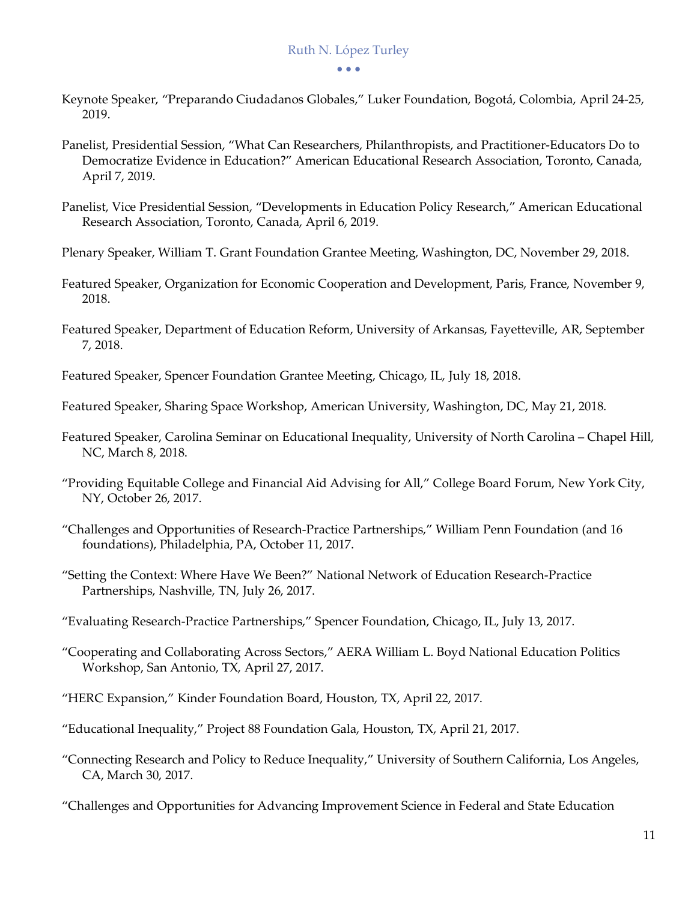• • •

- Keynote Speaker, "Preparando Ciudadanos Globales," Luker Foundation, Bogotá, Colombia, April 24-25, 2019.
- Panelist, Presidential Session, "What Can Researchers, Philanthropists, and Practitioner-Educators Do to Democratize Evidence in Education?" American Educational Research Association, Toronto, Canada, April 7, 2019.
- Panelist, Vice Presidential Session, "Developments in Education Policy Research," American Educational Research Association, Toronto, Canada, April 6, 2019.
- Plenary Speaker, William T. Grant Foundation Grantee Meeting, Washington, DC, November 29, 2018.
- Featured Speaker, Organization for Economic Cooperation and Development, Paris, France, November 9, 2018.
- Featured Speaker, Department of Education Reform, University of Arkansas, Fayetteville, AR, September 7, 2018.
- Featured Speaker, Spencer Foundation Grantee Meeting, Chicago, IL, July 18, 2018.
- Featured Speaker, Sharing Space Workshop, American University, Washington, DC, May 21, 2018.
- Featured Speaker, Carolina Seminar on Educational Inequality, University of North Carolina Chapel Hill, NC, March 8, 2018.
- "Providing Equitable College and Financial Aid Advising for All," College Board Forum, New York City, NY, October 26, 2017.
- "Challenges and Opportunities of Research-Practice Partnerships," William Penn Foundation (and 16 foundations), Philadelphia, PA, October 11, 2017.
- "Setting the Context: Where Have We Been?" National Network of Education Research-Practice Partnerships, Nashville, TN, July 26, 2017.
- "Evaluating Research-Practice Partnerships," Spencer Foundation, Chicago, IL, July 13, 2017.
- "Cooperating and Collaborating Across Sectors," AERA William L. Boyd National Education Politics Workshop, San Antonio, TX, April 27, 2017.
- "HERC Expansion," Kinder Foundation Board, Houston, TX, April 22, 2017.
- "Educational Inequality," Project 88 Foundation Gala, Houston, TX, April 21, 2017.
- "Connecting Research and Policy to Reduce Inequality," University of Southern California, Los Angeles, CA, March 30, 2017.
- "Challenges and Opportunities for Advancing Improvement Science in Federal and State Education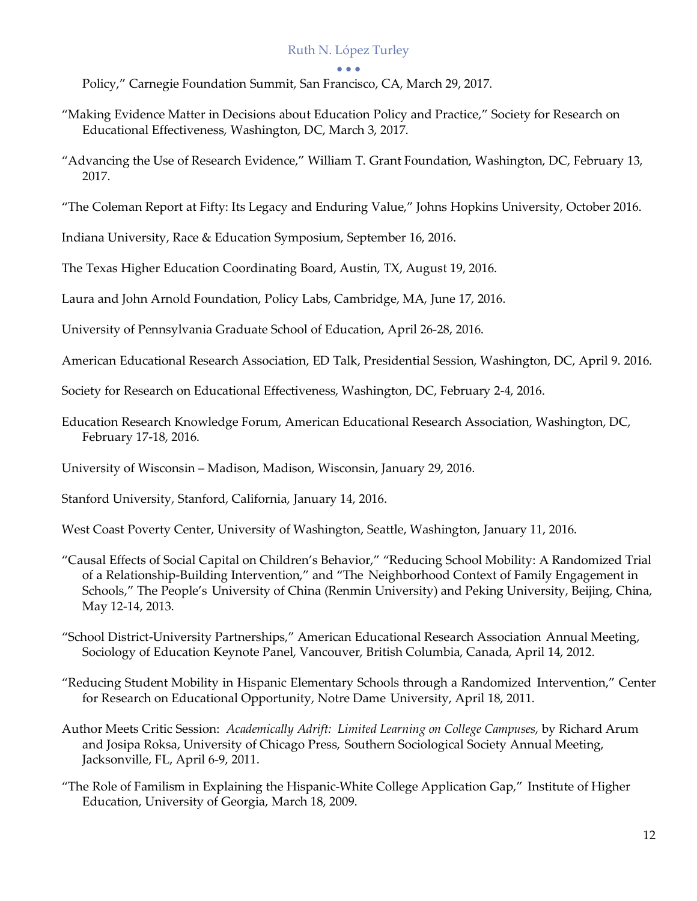#### • • •

Policy," Carnegie Foundation Summit, San Francisco, CA, March 29, 2017.

- "Making Evidence Matter in Decisions about Education Policy and Practice," Society for Research on Educational Effectiveness, Washington, DC, March 3, 2017.
- "Advancing the Use of Research Evidence," William T. Grant Foundation, Washington, DC, February 13, 2017.
- "The Coleman Report at Fifty: Its Legacy and Enduring Value," Johns Hopkins University, October 2016.

Indiana University, Race & Education Symposium, September 16, 2016.

The Texas Higher Education Coordinating Board, Austin, TX, August 19, 2016.

Laura and John Arnold Foundation, Policy Labs, Cambridge, MA, June 17, 2016.

University of Pennsylvania Graduate School of Education, April 26-28, 2016.

American Educational Research Association, ED Talk, Presidential Session, Washington, DC, April 9. 2016.

Society for Research on Educational Effectiveness, Washington, DC, February 2-4, 2016.

 Education Research Knowledge Forum, American Educational Research Association, Washington, DC, February 17-18, 2016.

University of Wisconsin – Madison, Madison, Wisconsin, January 29, 2016.

Stanford University, Stanford, California, January 14, 2016.

West Coast Poverty Center, University of Washington, Seattle, Washington, January 11, 2016.

 "Causal Effects of Social Capital on Children's Behavior," "Reducing School Mobility: A Randomized Trial of a Relationship-Building Intervention," and "The Neighborhood Context of Family Engagement in Schools," The People's University of China (Renmin University) and Peking University, Beijing, China, May 12-14, 2013.

 "School District-University Partnerships," American Educational Research Association Annual Meeting, Sociology of Education Keynote Panel, Vancouver, British Columbia, Canada, April 14, 2012.

 "Reducing Student Mobility in Hispanic Elementary Schools through a Randomized Intervention," Center for Research on Educational Opportunity, Notre Dame University, April 18, 2011.

- Author Meets Critic Session: *Academically Adrift: Limited Learning on College Campuses*, by Richard Arum and Josipa Roksa, University of Chicago Press, Southern Sociological Society Annual Meeting, Jacksonville, FL, April 6-9, 2011.
- "The Role of Familism in Explaining the Hispanic-White College Application Gap," Institute of Higher Education, University of Georgia, March 18, 2009.